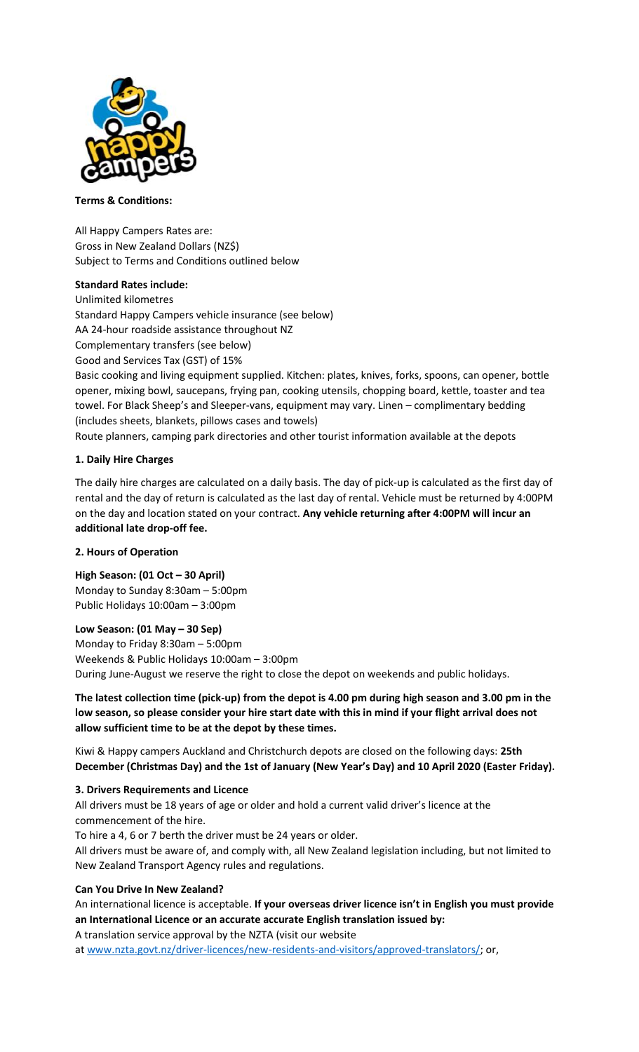

### **Terms & Conditions:**

All Happy Campers Rates are: Gross in New Zealand Dollars (NZ\$) Subject to Terms and Conditions outlined below

## **Standard Rates include:**

Unlimited kilometres Standard Happy Campers vehicle insurance (see below) AA 24-hour roadside assistance throughout NZ Complementary transfers (see below) Good and Services Tax (GST) of 15% Basic cooking and living equipment supplied. Kitchen: plates, knives, forks, spoons, can opener, bottle opener, mixing bowl, saucepans, frying pan, cooking utensils, chopping board, kettle, toaster and tea towel. For Black Sheep's and Sleeper-vans, equipment may vary. Linen – complimentary bedding (includes sheets, blankets, pillows cases and towels)

Route planners, camping park directories and other tourist information available at the depots

### **1. Daily Hire Charges**

The daily hire charges are calculated on a daily basis. The day of pick-up is calculated as the first day of rental and the day of return is calculated as the last day of rental. Vehicle must be returned by 4:00PM on the day and location stated on your contract. **Any vehicle returning after 4:00PM will incur an additional late drop-off fee.**

### **2. Hours of Operation**

**High Season: (01 Oct – 30 April)** Monday to Sunday 8:30am – 5:00pm Public Holidays 10:00am – 3:00pm

### **Low Season: (01 May – 30 Sep)**

Monday to Friday 8:30am – 5:00pm Weekends & Public Holidays 10:00am – 3:00pm During June-August we reserve the right to close the depot on weekends and public holidays.

# **The latest collection time (pick-up) from the depot is 4.00 pm during high season and 3.00 pm in the low season, so please consider your hire start date with this in mind if your flight arrival does not allow sufficient time to be at the depot by these times.**

Kiwi & Happy campers Auckland and Christchurch depots are closed on the following days: **25th December (Christmas Day) and the 1st of January (New Year's Day) and 10 April 2020 (Easter Friday).**

### **3. Drivers Requirements and Licence**

All drivers must be 18 years of age or older and hold a current valid driver's licence at the commencement of the hire.

To hire a 4, 6 or 7 berth the driver must be 24 years or older.

All drivers must be aware of, and comply with, all New Zealand legislation including, but not limited to New Zealand Transport Agency rules and regulations.

### **Can You Drive In New Zealand?**

An international licence is acceptable. **If your overseas driver licence isn't in English you must provide an International Licence or an accurate accurate English translation issued by:** A translation service approval by the NZTA (visit our website

at [www.nzta.govt.nz/driver-licences/new-residents-and-visitors/approved-translators/;](https://www.nzta.govt.nz/driver-licences/new-residents-and-visitors/approved-translators/) or,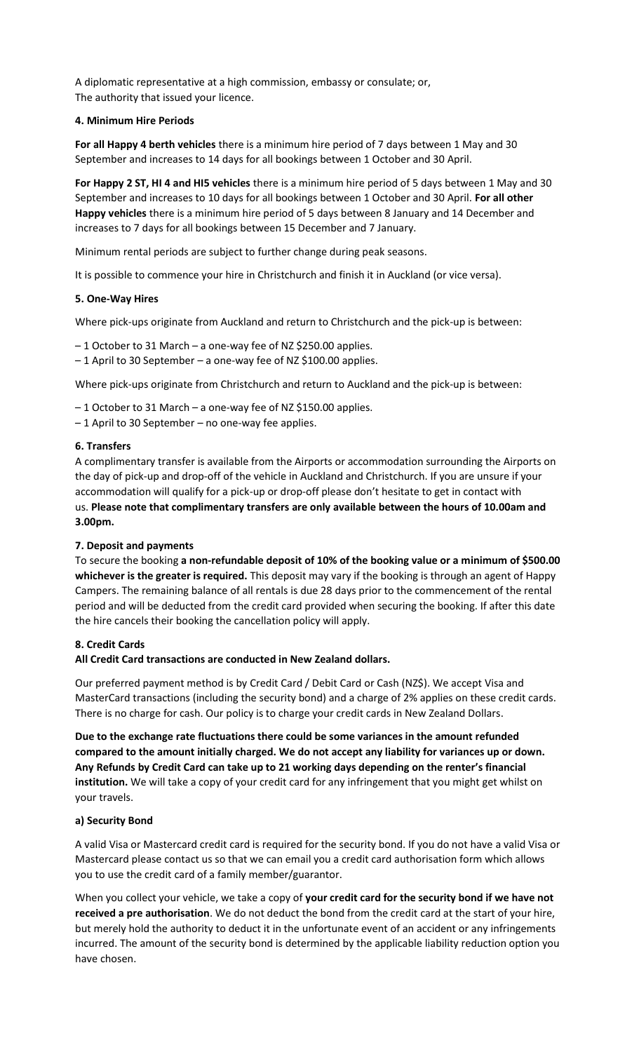A diplomatic representative at a high commission, embassy or consulate; or, The authority that issued your licence.

## **4. Minimum Hire Periods**

**For all Happy 4 berth vehicles** there is a minimum hire period of 7 days between 1 May and 30 September and increases to 14 days for all bookings between 1 October and 30 April.

**For Happy 2 ST, HI 4 and HI5 vehicles** there is a minimum hire period of 5 days between 1 May and 30 September and increases to 10 days for all bookings between 1 October and 30 April. **For all other Happy vehicles** there is a minimum hire period of 5 days between 8 January and 14 December and increases to 7 days for all bookings between 15 December and 7 January.

Minimum rental periods are subject to further change during peak seasons.

It is possible to commence your hire in Christchurch and finish it in Auckland (or vice versa).

### **5. One-Way Hires**

Where pick-ups originate from Auckland and return to Christchurch and the pick-up is between:

– 1 October to 31 March – a one-way fee of NZ \$250.00 applies.

– 1 April to 30 September – a one-way fee of NZ \$100.00 applies.

Where pick-ups originate from Christchurch and return to Auckland and the pick-up is between:

– 1 October to 31 March – a one-way fee of NZ \$150.00 applies.

– 1 April to 30 September – no one-way fee applies.

# **6. Transfers**

A complimentary transfer is available from the Airports or accommodation surrounding the Airports on the day of pick-up and drop-off of the vehicle in Auckland and Christchurch. If you are unsure if your accommodation will qualify for a pick-up or drop-off please don't hesitate to get in contact with us. **Please note that complimentary transfers are only available between the hours of 10.00am and 3.00pm.**

# **7. Deposit and payments**

To secure the booking **a non-refundable deposit of 10% of the booking value or a minimum of \$500.00 whichever is the greater is required.** This deposit may vary if the booking is through an agent of Happy Campers. The remaining balance of all rentals is due 28 days prior to the commencement of the rental period and will be deducted from the credit card provided when securing the booking. If after this date the hire cancels their booking the cancellation policy will apply.

# **8. Credit Cards**

### **All Credit Card transactions are conducted in New Zealand dollars.**

Our preferred payment method is by Credit Card / Debit Card or Cash (NZ\$). We accept Visa and MasterCard transactions (including the security bond) and a charge of 2% applies on these credit cards. There is no charge for cash. Our policy is to charge your credit cards in New Zealand Dollars.

**Due to the exchange rate fluctuations there could be some variances in the amount refunded compared to the amount initially charged. We do not accept any liability for variances up or down. Any Refunds by Credit Card can take up to 21 working days depending on the renter's financial institution.** We will take a copy of your credit card for any infringement that you might get whilst on your travels.

# **a) Security Bond**

A valid Visa or Mastercard credit card is required for the security bond. If you do not have a valid Visa or Mastercard please contact us so that we can email you a credit card authorisation form which allows you to use the credit card of a family member/guarantor.

When you collect your vehicle, we take a copy of **your credit card for the security bond if we have not received a pre authorisation**. We do not deduct the bond from the credit card at the start of your hire, but merely hold the authority to deduct it in the unfortunate event of an accident or any infringements incurred. The amount of the security bond is determined by the applicable liability reduction option you have chosen.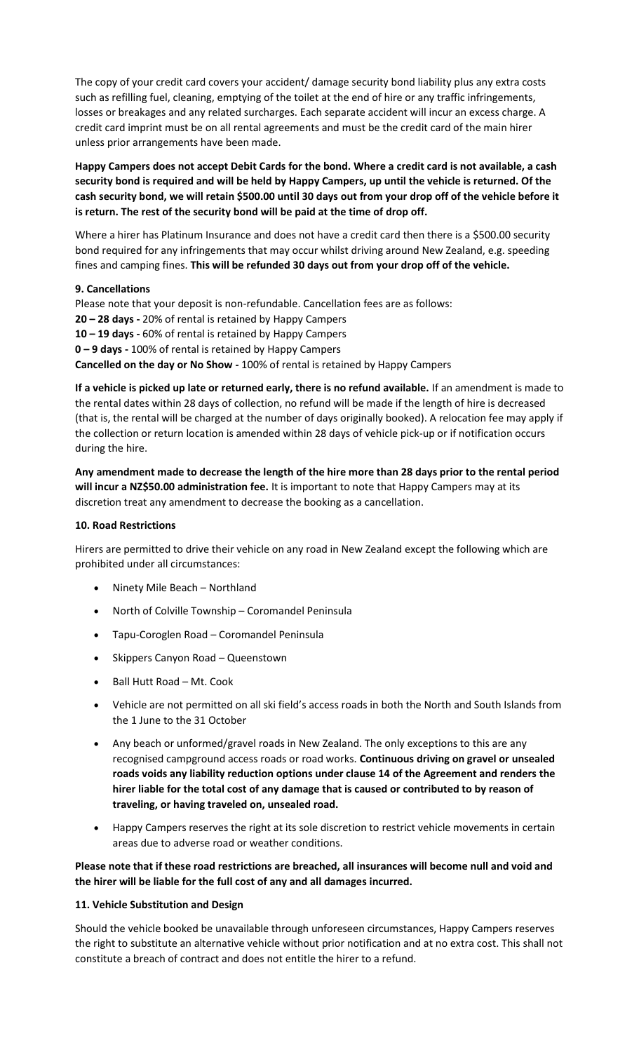The copy of your credit card covers your accident/ damage security bond liability plus any extra costs such as refilling fuel, cleaning, emptying of the toilet at the end of hire or any traffic infringements, losses or breakages and any related surcharges. Each separate accident will incur an excess charge. A credit card imprint must be on all rental agreements and must be the credit card of the main hirer unless prior arrangements have been made.

**Happy Campers does not accept Debit Cards for the bond. Where a credit card is not available, a cash security bond is required and will be held by Happy Campers, up until the vehicle is returned. Of the cash security bond, we will retain \$500.00 until 30 days out from your drop off of the vehicle before it is return. The rest of the security bond will be paid at the time of drop off.**

Where a hirer has Platinum Insurance and does not have a credit card then there is a \$500.00 security bond required for any infringements that may occur whilst driving around New Zealand, e.g. speeding fines and camping fines. **This will be refunded 30 days out from your drop off of the vehicle.**

### **9. Cancellations**

Please note that your deposit is non-refundable. Cancellation fees are as follows: **20 – 28 days -** 20% of rental is retained by Happy Campers **10 – 19 days -** 60% of rental is retained by Happy Campers **0 – 9 days -** 100% of rental is retained by Happy Campers **Cancelled on the day or No Show -** 100% of rental is retained by Happy Campers

**If a vehicle is picked up late or returned early, there is no refund available.** If an amendment is made to the rental dates within 28 days of collection, no refund will be made if the length of hire is decreased (that is, the rental will be charged at the number of days originally booked). A relocation fee may apply if the collection or return location is amended within 28 days of vehicle pick-up or if notification occurs during the hire.

**Any amendment made to decrease the length of the hire more than 28 days prior to the rental period will incur a NZ\$50.00 administration fee.** It is important to note that Happy Campers may at its discretion treat any amendment to decrease the booking as a cancellation.

### **10. Road Restrictions**

Hirers are permitted to drive their vehicle on any road in New Zealand except the following which are prohibited under all circumstances:

- Ninety Mile Beach Northland
- North of Colville Township Coromandel Peninsula
- Tapu-Coroglen Road Coromandel Peninsula
- Skippers Canyon Road Queenstown
- Ball Hutt Road Mt. Cook
- Vehicle are not permitted on all ski field's access roads in both the North and South Islands from the 1 June to the 31 October
- Any beach or unformed/gravel roads in New Zealand. The only exceptions to this are any recognised campground access roads or road works. **Continuous driving on gravel or unsealed roads voids any liability reduction options under clause 14 of the Agreement and renders the hirer liable for the total cost of any damage that is caused or contributed to by reason of traveling, or having traveled on, unsealed road.**
- Happy Campers reserves the right at its sole discretion to restrict vehicle movements in certain areas due to adverse road or weather conditions.

**Please note that if these road restrictions are breached, all insurances will become null and void and the hirer will be liable for the full cost of any and all damages incurred.**

### **11. Vehicle Substitution and Design**

Should the vehicle booked be unavailable through unforeseen circumstances, Happy Campers reserves the right to substitute an alternative vehicle without prior notification and at no extra cost. This shall not constitute a breach of contract and does not entitle the hirer to a refund.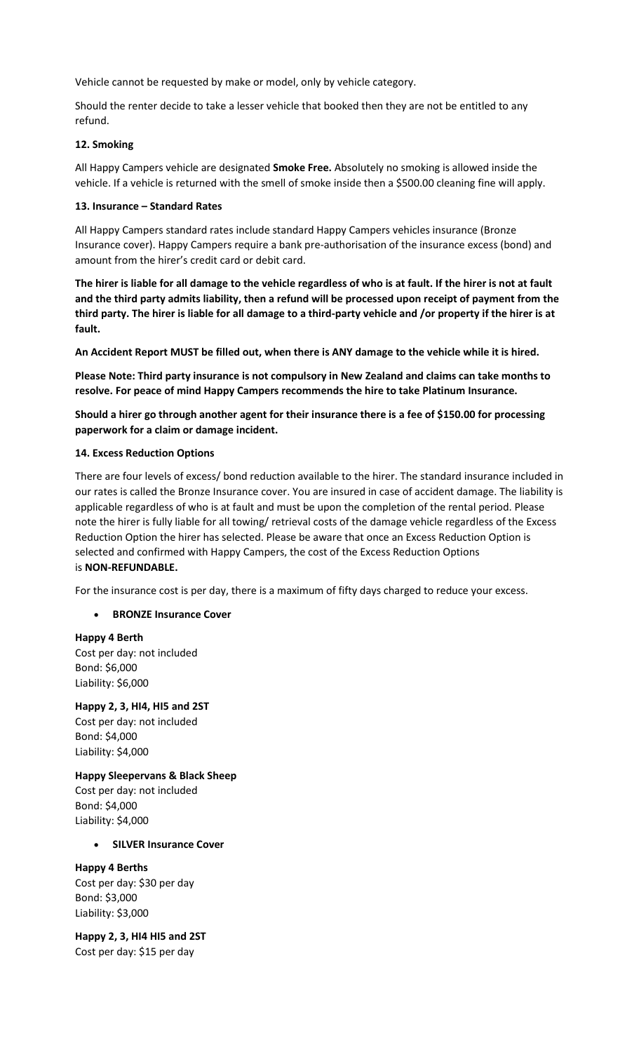Vehicle cannot be requested by make or model, only by vehicle category.

Should the renter decide to take a lesser vehicle that booked then they are not be entitled to any refund.

### **12. Smoking**

All Happy Campers vehicle are designated **Smoke Free.** Absolutely no smoking is allowed inside the vehicle. If a vehicle is returned with the smell of smoke inside then a \$500.00 cleaning fine will apply.

### **13. Insurance – Standard Rates**

All Happy Campers standard rates include standard Happy Campers vehicles insurance (Bronze Insurance cover). Happy Campers require a bank pre-authorisation of the insurance excess (bond) and amount from the hirer's credit card or debit card.

**The hirer is liable for all damage to the vehicle regardless of who is at fault. If the hirer is not at fault and the third party admits liability, then a refund will be processed upon receipt of payment from the third party. The hirer is liable for all damage to a third-party vehicle and /or property if the hirer is at fault.**

**An Accident Report MUST be filled out, when there is ANY damage to the vehicle while it is hired.**

**Please Note: Third party insurance is not compulsory in New Zealand and claims can take months to resolve. For peace of mind Happy Campers recommends the hire to take Platinum Insurance.**

**Should a hirer go through another agent for their insurance there is a fee of \$150.00 for processing paperwork for a claim or damage incident.**

### **14. Excess Reduction Options**

There are four levels of excess/ bond reduction available to the hirer. The standard insurance included in our rates is called the Bronze Insurance cover. You are insured in case of accident damage. The liability is applicable regardless of who is at fault and must be upon the completion of the rental period. Please note the hirer is fully liable for all towing/ retrieval costs of the damage vehicle regardless of the Excess Reduction Option the hirer has selected. Please be aware that once an Excess Reduction Option is selected and confirmed with Happy Campers, the cost of the Excess Reduction Options is **NON-REFUNDABLE.**

For the insurance cost is per day, there is a maximum of fifty days charged to reduce your excess.

• **BRONZE Insurance Cover**

**Happy 4 Berth** Cost per day: not included Bond: \$6,000 Liability: \$6,000

**Happy 2, 3, HI4, HI5 and 2ST** Cost per day: not included Bond: \$4,000 Liability: \$4,000

**Happy Sleepervans & Black Sheep** Cost per day: not included Bond: \$4,000 Liability: \$4,000

### • **SILVER Insurance Cover**

**Happy 4 Berths** Cost per day: \$30 per day Bond: \$3,000 Liability: \$3,000

**Happy 2, 3, HI4 HI5 and 2ST** Cost per day: \$15 per day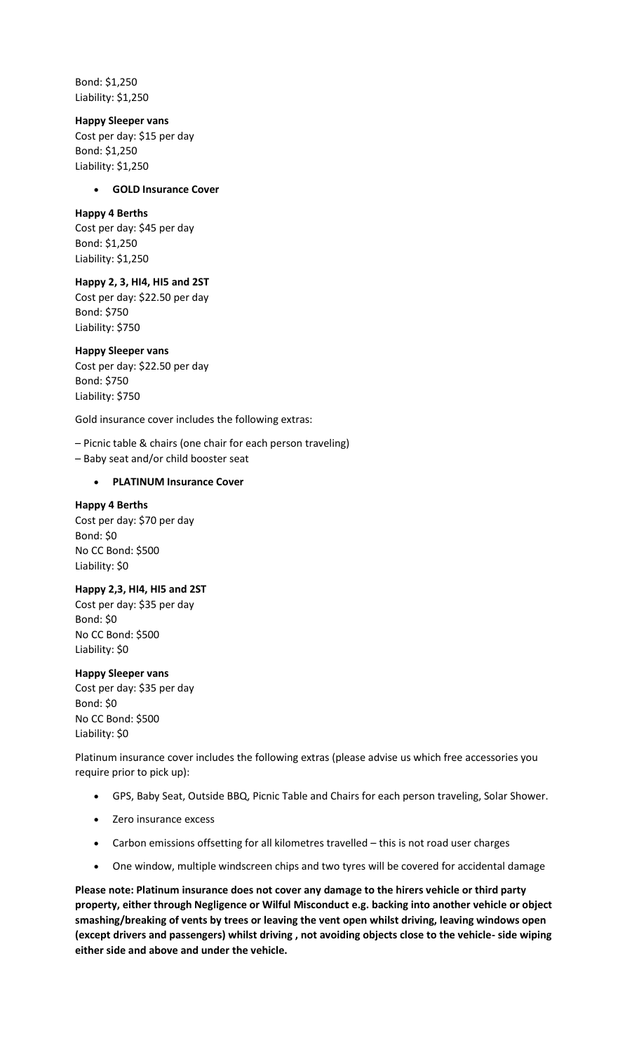Bond: \$1,250 Liability: \$1,250

### **Happy Sleeper vans**

Cost per day: \$15 per day Bond: \$1,250 Liability: \$1,250

#### • **GOLD Insurance Cover**

#### **Happy 4 Berths**

Cost per day: \$45 per day Bond: \$1,250 Liability: \$1,250

### **Happy 2, 3, HI4, HI5 and 2ST**

Cost per day: \$22.50 per day Bond: \$750 Liability: \$750

#### **Happy Sleeper vans**

Cost per day: \$22.50 per day Bond: \$750 Liability: \$750

Gold insurance cover includes the following extras:

– Picnic table & chairs (one chair for each person traveling)

– Baby seat and/or child booster seat

#### • **PLATINUM Insurance Cover**

#### **Happy 4 Berths**

Cost per day: \$70 per day Bond: \$0 No CC Bond: \$500 Liability: \$0

### **Happy 2,3, HI4, HI5 and 2ST**

Cost per day: \$35 per day Bond: \$0 No CC Bond: \$500 Liability: \$0

### **Happy Sleeper vans**

Cost per day: \$35 per day Bond: \$0 No CC Bond: \$500 Liability: \$0

Platinum insurance cover includes the following extras (please advise us which free accessories you require prior to pick up):

- GPS, Baby Seat, Outside BBQ, Picnic Table and Chairs for each person traveling, Solar Shower.
- Zero insurance excess
- Carbon emissions offsetting for all kilometres travelled this is not road user charges
- One window, multiple windscreen chips and two tyres will be covered for accidental damage

**Please note: Platinum insurance does not cover any damage to the hirers vehicle or third party property, either through Negligence or Wilful Misconduct e.g. backing into another vehicle or object smashing/breaking of vents by trees or leaving the vent open whilst driving, leaving windows open (except drivers and passengers) whilst driving , not avoiding objects close to the vehicle- side wiping either side and above and under the vehicle.**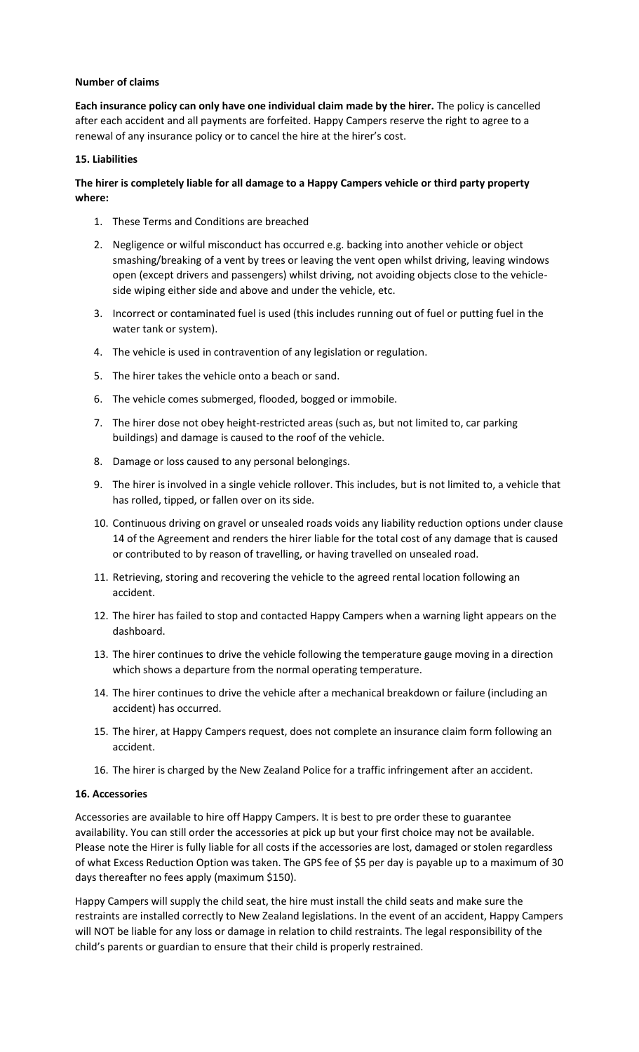### **Number of claims**

**Each insurance policy can only have one individual claim made by the hirer.** The policy is cancelled after each accident and all payments are forfeited. Happy Campers reserve the right to agree to a renewal of any insurance policy or to cancel the hire at the hirer's cost.

### **15. Liabilities**

# **The hirer is completely liable for all damage to a Happy Campers vehicle or third party property where:**

- 1. These Terms and Conditions are breached
- 2. Negligence or wilful misconduct has occurred e.g. backing into another vehicle or object smashing/breaking of a vent by trees or leaving the vent open whilst driving, leaving windows open (except drivers and passengers) whilst driving, not avoiding objects close to the vehicleside wiping either side and above and under the vehicle, etc.
- 3. Incorrect or contaminated fuel is used (this includes running out of fuel or putting fuel in the water tank or system).
- 4. The vehicle is used in contravention of any legislation or regulation.
- 5. The hirer takes the vehicle onto a beach or sand.
- 6. The vehicle comes submerged, flooded, bogged or immobile.
- 7. The hirer dose not obey height-restricted areas (such as, but not limited to, car parking buildings) and damage is caused to the roof of the vehicle.
- 8. Damage or loss caused to any personal belongings.
- 9. The hirer is involved in a single vehicle rollover. This includes, but is not limited to, a vehicle that has rolled, tipped, or fallen over on its side.
- 10. Continuous driving on gravel or unsealed roads voids any liability reduction options under clause 14 of the Agreement and renders the hirer liable for the total cost of any damage that is caused or contributed to by reason of travelling, or having travelled on unsealed road.
- 11. Retrieving, storing and recovering the vehicle to the agreed rental location following an accident.
- 12. The hirer has failed to stop and contacted Happy Campers when a warning light appears on the dashboard.
- 13. The hirer continues to drive the vehicle following the temperature gauge moving in a direction which shows a departure from the normal operating temperature.
- 14. The hirer continues to drive the vehicle after a mechanical breakdown or failure (including an accident) has occurred.
- 15. The hirer, at Happy Campers request, does not complete an insurance claim form following an accident.
- 16. The hirer is charged by the New Zealand Police for a traffic infringement after an accident.

### **16. Accessories**

Accessories are available to hire off Happy Campers. It is best to pre order these to guarantee availability. You can still order the accessories at pick up but your first choice may not be available. Please note the Hirer is fully liable for all costs if the accessories are lost, damaged or stolen regardless of what Excess Reduction Option was taken. The GPS fee of \$5 per day is payable up to a maximum of 30 days thereafter no fees apply (maximum \$150).

Happy Campers will supply the child seat, the hire must install the child seats and make sure the restraints are installed correctly to New Zealand legislations. In the event of an accident, Happy Campers will NOT be liable for any loss or damage in relation to child restraints. The legal responsibility of the child's parents or guardian to ensure that their child is properly restrained.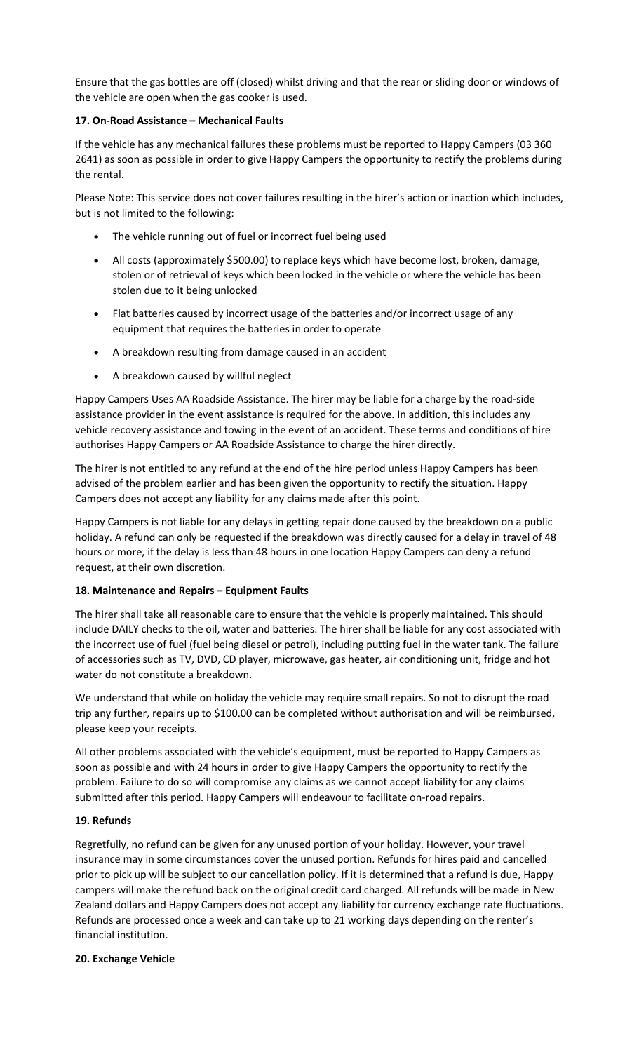Ensure that the gas bottles are off (closed) whilst driving and that the rear or sliding door or windows of the vehicle are open when the gas cooker is used.

## **17. On-Road Assistance – Mechanical Faults**

If the vehicle has any mechanical failures these problems must be reported to Happy Campers (03 360 2641) as soon as possible in order to give Happy Campers the opportunity to rectify the problems during the rental.

Please Note: This service does not cover failures resulting in the hirer's action or inaction which includes, but is not limited to the following:

- The vehicle running out of fuel or incorrect fuel being used
- All costs (approximately \$500.00) to replace keys which have become lost, broken, damage, stolen or of retrieval of keys which been locked in the vehicle or where the vehicle has been stolen due to it being unlocked
- Flat batteries caused by incorrect usage of the batteries and/or incorrect usage of any equipment that requires the batteries in order to operate
- A breakdown resulting from damage caused in an accident
- A breakdown caused by willful neglect

Happy Campers Uses AA Roadside Assistance. The hirer may be liable for a charge by the road-side assistance provider in the event assistance is required for the above. In addition, this includes any vehicle recovery assistance and towing in the event of an accident. These terms and conditions of hire authorises Happy Campers or AA Roadside Assistance to charge the hirer directly.

The hirer is not entitled to any refund at the end of the hire period unless Happy Campers has been advised of the problem earlier and has been given the opportunity to rectify the situation. Happy Campers does not accept any liability for any claims made after this point.

Happy Campers is not liable for any delays in getting repair done caused by the breakdown on a public holiday. A refund can only be requested if the breakdown was directly caused for a delay in travel of 48 hours or more, if the delay is less than 48 hours in one location Happy Campers can deny a refund request, at their own discretion.

# **18. Maintenance and Repairs – Equipment Faults**

The hirer shall take all reasonable care to ensure that the vehicle is properly maintained. This should include DAILY checks to the oil, water and batteries. The hirer shall be liable for any cost associated with the incorrect use of fuel (fuel being diesel or petrol), including putting fuel in the water tank. The failure of accessories such as TV, DVD, CD player, microwave, gas heater, air conditioning unit, fridge and hot water do not constitute a breakdown.

We understand that while on holiday the vehicle may require small repairs. So not to disrupt the road trip any further, repairs up to \$100.00 can be completed without authorisation and will be reimbursed, please keep your receipts.

All other problems associated with the vehicle's equipment, must be reported to Happy Campers as soon as possible and with 24 hours in order to give Happy Campers the opportunity to rectify the problem. Failure to do so will compromise any claims as we cannot accept liability for any claims submitted after this period. Happy Campers will endeavour to facilitate on-road repairs.

# **19. Refunds**

Regretfully, no refund can be given for any unused portion of your holiday. However, your travel insurance may in some circumstances cover the unused portion. Refunds for hires paid and cancelled prior to pick up will be subject to our cancellation policy. If it is determined that a refund is due, Happy campers will make the refund back on the original credit card charged. All refunds will be made in New Zealand dollars and Happy Campers does not accept any liability for currency exchange rate fluctuations. Refunds are processed once a week and can take up to 21 working days depending on the renter's financial institution.

### **20. Exchange Vehicle**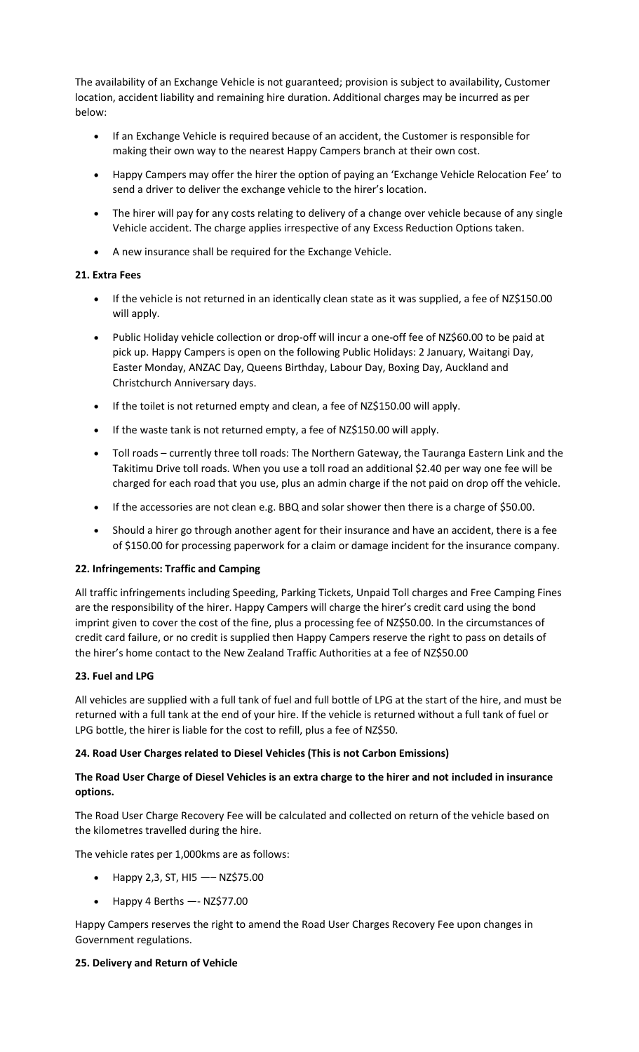The availability of an Exchange Vehicle is not guaranteed; provision is subject to availability, Customer location, accident liability and remaining hire duration. Additional charges may be incurred as per below:

- If an Exchange Vehicle is required because of an accident, the Customer is responsible for making their own way to the nearest Happy Campers branch at their own cost.
- Happy Campers may offer the hirer the option of paying an 'Exchange Vehicle Relocation Fee' to send a driver to deliver the exchange vehicle to the hirer's location.
- The hirer will pay for any costs relating to delivery of a change over vehicle because of any single Vehicle accident. The charge applies irrespective of any Excess Reduction Options taken.
- A new insurance shall be required for the Exchange Vehicle.

# **21. Extra Fees**

- If the vehicle is not returned in an identically clean state as it was supplied, a fee of NZ\$150.00 will apply.
- Public Holiday vehicle collection or drop-off will incur a one-off fee of NZ\$60.00 to be paid at pick up. Happy Campers is open on the following Public Holidays: 2 January, Waitangi Day, Easter Monday, ANZAC Day, Queens Birthday, Labour Day, Boxing Day, Auckland and Christchurch Anniversary days.
- If the toilet is not returned empty and clean, a fee of NZ\$150.00 will apply.
- If the waste tank is not returned empty, a fee of NZ\$150.00 will apply.
- Toll roads currently three toll roads: The Northern Gateway, the Tauranga Eastern Link and the Takitimu Drive toll roads. When you use a toll road an additional \$2.40 per way one fee will be charged for each road that you use, plus an admin charge if the not paid on drop off the vehicle.
- If the accessories are not clean e.g. BBQ and solar shower then there is a charge of \$50.00.
- Should a hirer go through another agent for their insurance and have an accident, there is a fee of \$150.00 for processing paperwork for a claim or damage incident for the insurance company.

# **22. Infringements: Traffic and Camping**

All traffic infringements including Speeding, Parking Tickets, Unpaid Toll charges and Free Camping Fines are the responsibility of the hirer. Happy Campers will charge the hirer's credit card using the bond imprint given to cover the cost of the fine, plus a processing fee of NZ\$50.00. In the circumstances of credit card failure, or no credit is supplied then Happy Campers reserve the right to pass on details of the hirer's home contact to the New Zealand Traffic Authorities at a fee of NZ\$50.00

# **23. Fuel and LPG**

All vehicles are supplied with a full tank of fuel and full bottle of LPG at the start of the hire, and must be returned with a full tank at the end of your hire. If the vehicle is returned without a full tank of fuel or LPG bottle, the hirer is liable for the cost to refill, plus a fee of NZ\$50.

# **24. Road User Charges related to Diesel Vehicles (This is not Carbon Emissions)**

# **The Road User Charge of Diesel Vehicles is an extra charge to the hirer and not included in insurance options.**

The Road User Charge Recovery Fee will be calculated and collected on return of the vehicle based on the kilometres travelled during the hire.

The vehicle rates per 1,000kms are as follows:

- Happy 2,3, ST, HI5  $--$  NZ\$75.00
- Happy 4 Berths —- NZ\$77.00

Happy Campers reserves the right to amend the Road User Charges Recovery Fee upon changes in Government regulations.

# **25. Delivery and Return of Vehicle**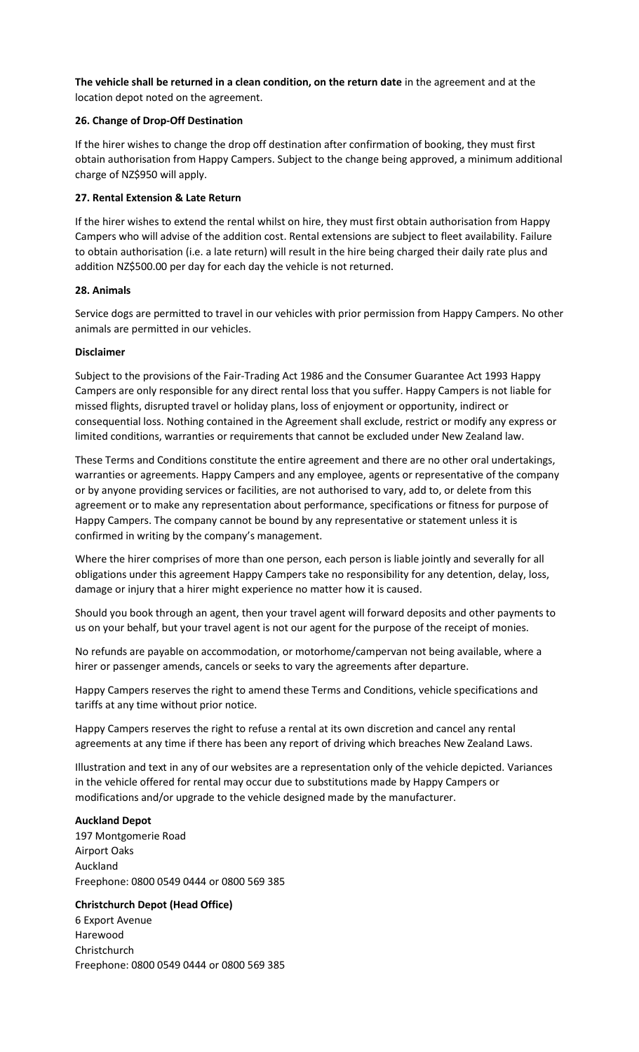**The vehicle shall be returned in a clean condition, on the return date** in the agreement and at the location depot noted on the agreement.

## **26. Change of Drop-Off Destination**

If the hirer wishes to change the drop off destination after confirmation of booking, they must first obtain authorisation from Happy Campers. Subject to the change being approved, a minimum additional charge of NZ\$950 will apply.

### **27. Rental Extension & Late Return**

If the hirer wishes to extend the rental whilst on hire, they must first obtain authorisation from Happy Campers who will advise of the addition cost. Rental extensions are subject to fleet availability. Failure to obtain authorisation (i.e. a late return) will result in the hire being charged their daily rate plus and addition NZ\$500.00 per day for each day the vehicle is not returned.

### **28. Animals**

Service dogs are permitted to travel in our vehicles with prior permission from Happy Campers. No other animals are permitted in our vehicles.

### **Disclaimer**

Subject to the provisions of the Fair-Trading Act 1986 and the Consumer Guarantee Act 1993 Happy Campers are only responsible for any direct rental loss that you suffer. Happy Campers is not liable for missed flights, disrupted travel or holiday plans, loss of enjoyment or opportunity, indirect or consequential loss. Nothing contained in the Agreement shall exclude, restrict or modify any express or limited conditions, warranties or requirements that cannot be excluded under New Zealand law.

These Terms and Conditions constitute the entire agreement and there are no other oral undertakings, warranties or agreements. Happy Campers and any employee, agents or representative of the company or by anyone providing services or facilities, are not authorised to vary, add to, or delete from this agreement or to make any representation about performance, specifications or fitness for purpose of Happy Campers. The company cannot be bound by any representative or statement unless it is confirmed in writing by the company's management.

Where the hirer comprises of more than one person, each person is liable jointly and severally for all obligations under this agreement Happy Campers take no responsibility for any detention, delay, loss, damage or injury that a hirer might experience no matter how it is caused.

Should you book through an agent, then your travel agent will forward deposits and other payments to us on your behalf, but your travel agent is not our agent for the purpose of the receipt of monies.

No refunds are payable on accommodation, or motorhome/campervan not being available, where a hirer or passenger amends, cancels or seeks to vary the agreements after departure.

Happy Campers reserves the right to amend these Terms and Conditions, vehicle specifications and tariffs at any time without prior notice.

Happy Campers reserves the right to refuse a rental at its own discretion and cancel any rental agreements at any time if there has been any report of driving which breaches New Zealand Laws.

Illustration and text in any of our websites are a representation only of the vehicle depicted. Variances in the vehicle offered for rental may occur due to substitutions made by Happy Campers or modifications and/or upgrade to the vehicle designed made by the manufacturer.

### **Auckland Depot**

197 Montgomerie Road Airport Oaks Auckland Freephone: 0800 0549 0444 or 0800 569 385

# **Christchurch Depot (Head Office)**

6 Export Avenue Harewood **Christchurch** Freephone: 0800 0549 0444 or 0800 569 385